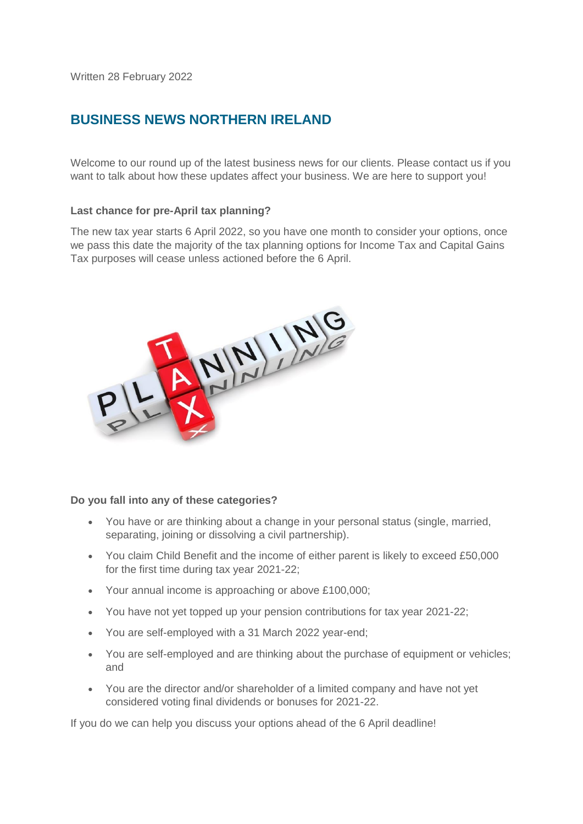Written 28 February 2022

# **BUSINESS NEWS NORTHERN IRELAND**

Welcome to our round up of the latest business news for our clients. Please contact us if you want to talk about how these updates affect your business. We are here to support you!

### **Last chance for pre-April tax planning?**

The new tax year starts 6 April 2022, so you have one month to consider your options, once we pass this date the majority of the tax planning options for Income Tax and Capital Gains Tax purposes will cease unless actioned before the 6 April.



#### **Do you fall into any of these categories?**

- You have or are thinking about a change in your personal status (single, married, separating, joining or dissolving a civil partnership).
- You claim Child Benefit and the income of either parent is likely to exceed £50,000 for the first time during tax year 2021-22;
- Your annual income is approaching or above £100,000;
- You have not yet topped up your pension contributions for tax year 2021-22;
- You are self-employed with a 31 March 2022 year-end;
- You are self-employed and are thinking about the purchase of equipment or vehicles; and
- You are the director and/or shareholder of a limited company and have not yet considered voting final dividends or bonuses for 2021-22.

If you do we can help you discuss your options ahead of the 6 April deadline!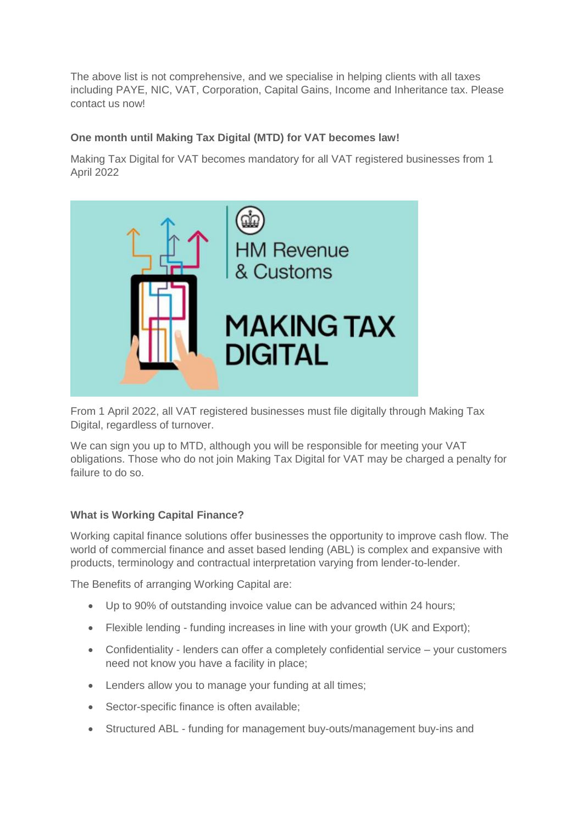The above list is not comprehensive, and we specialise in helping clients with all taxes including PAYE, NIC, VAT, Corporation, Capital Gains, Income and Inheritance tax. Please contact us now!

## **One month until Making Tax Digital (MTD) for VAT becomes law!**

Making Tax Digital for VAT becomes mandatory for all VAT registered businesses from 1 April 2022



From 1 April 2022, all VAT registered businesses must file digitally through Making Tax Digital, regardless of turnover.

We can sign you up to MTD, although you will be responsible for meeting your VAT obligations. Those who do not join Making Tax Digital for VAT may be charged a penalty for failure to do so.

## **What is Working Capital Finance?**

Working capital finance solutions offer businesses the opportunity to improve cash flow. The world of commercial finance and asset based lending (ABL) is complex and expansive with products, terminology and contractual interpretation varying from lender-to-lender.

The Benefits of arranging Working Capital are:

- Up to 90% of outstanding invoice value can be advanced within 24 hours;
- Flexible lending funding increases in line with your growth (UK and Export);
- Confidentiality lenders can offer a completely confidential service your customers need not know you have a facility in place;
- Lenders allow you to manage your funding at all times;
- Sector-specific finance is often available;
- Structured ABL funding for management buy-outs/management buy-ins and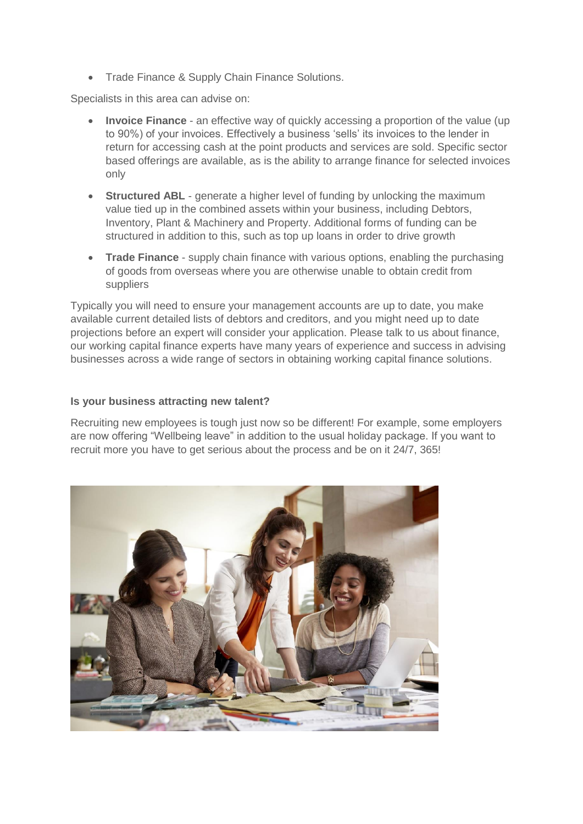• Trade Finance & Supply Chain Finance Solutions.

Specialists in this area can advise on:

- **Invoice Finance** an effective way of quickly accessing a proportion of the value (up to 90%) of your invoices. Effectively a business 'sells' its invoices to the lender in return for accessing cash at the point products and services are sold. Specific sector based offerings are available, as is the ability to arrange finance for selected invoices only
- **Structured ABL** generate a higher level of funding by unlocking the maximum value tied up in the combined assets within your business, including Debtors, Inventory, Plant & Machinery and Property. Additional forms of funding can be structured in addition to this, such as top up loans in order to drive growth
- **Trade Finance** supply chain finance with various options, enabling the purchasing of goods from overseas where you are otherwise unable to obtain credit from suppliers

Typically you will need to ensure your management accounts are up to date, you make available current detailed lists of debtors and creditors, and you might need up to date projections before an expert will consider your application. Please talk to us about finance, our working capital finance experts have many years of experience and success in advising businesses across a wide range of sectors in obtaining working capital finance solutions.

### **Is your business attracting new talent?**

Recruiting new employees is tough just now so be different! For example, some employers are now offering "Wellbeing leave" in addition to the usual holiday package. If you want to recruit more you have to get serious about the process and be on it 24/7, 365!

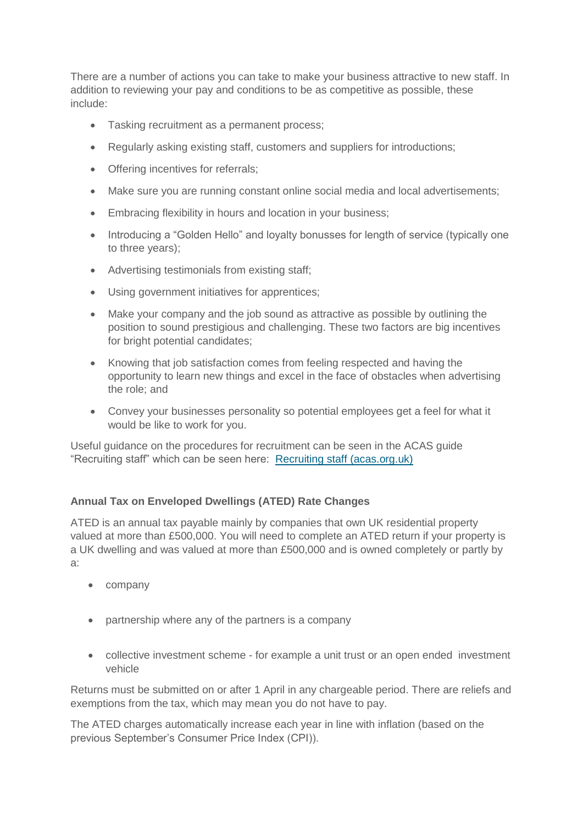There are a number of actions you can take to make your business attractive to new staff. In addition to reviewing your pay and conditions to be as competitive as possible, these include:

- Tasking recruitment as a permanent process;
- Regularly asking existing staff, customers and suppliers for introductions;
- Offering incentives for referrals;
- Make sure you are running constant online social media and local advertisements;
- Embracing flexibility in hours and location in your business:
- Introducing a "Golden Hello" and loyalty bonusses for length of service (typically one to three years);
- Advertising testimonials from existing staff;
- Using government initiatives for apprentices;
- Make your company and the job sound as attractive as possible by outlining the position to sound prestigious and challenging. These two factors are big incentives for bright potential candidates;
- Knowing that job satisfaction comes from feeling respected and having the opportunity to learn new things and excel in the face of obstacles when advertising the role; and
- Convey your businesses personality so potential employees get a feel for what it would be like to work for you.

Useful guidance on the procedures for recruitment can be seen in the ACAS guide "Recruiting staff" which can be seen here: [Recruiting staff \(acas.org.uk\)](https://www.acas.org.uk/sites/default/files/2019-03/Recruiting_staff_guide.pdf)

## **Annual Tax on Enveloped Dwellings (ATED) Rate Changes**

ATED is an annual tax payable mainly by companies that own UK residential property valued at more than £500,000. You will need to complete an ATED return if your property is a UK dwelling and was valued at more than £500,000 and is owned completely or partly by a:

- company
- partnership where any of the partners is a company
- collective investment scheme for example a unit trust or an open ended investment vehicle

Returns must be submitted on or after 1 April in any chargeable period. There are reliefs and exemptions from the tax, which may mean you do not have to pay.

The ATED charges automatically increase each year in line with inflation (based on the previous September's Consumer Price Index (CPI)).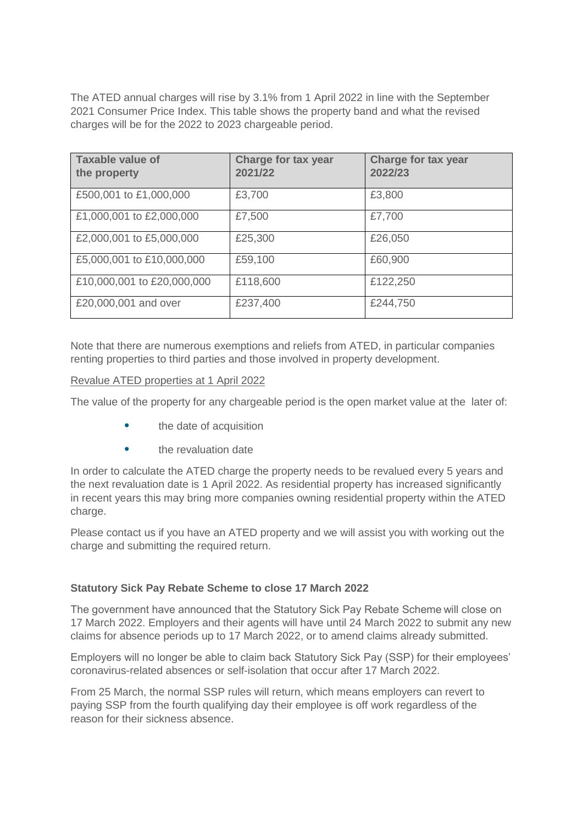The ATED annual charges will rise by 3.1% from 1 April 2022 in line with the September 2021 Consumer Price Index. This table shows the property band and what the revised charges will be for the 2022 to 2023 chargeable period.

| <b>Taxable value of</b><br>the property | <b>Charge for tax year</b><br>2021/22 | <b>Charge for tax year</b><br>2022/23 |
|-----------------------------------------|---------------------------------------|---------------------------------------|
| £500,001 to £1,000,000                  | £3,700                                | £3,800                                |
| £1,000,001 to £2,000,000                | £7,500                                | £7,700                                |
| £2,000,001 to £5,000,000                | £25,300                               | £26,050                               |
| £5,000,001 to £10,000,000               | £59,100                               | £60,900                               |
| £10,000,001 to £20,000,000              | £118,600                              | £122,250                              |
| £20,000,001 and over                    | £237,400                              | £244,750                              |

Note that there are numerous exemptions and reliefs from ATED, in particular companies renting properties to third parties and those involved in property development.

#### Revalue ATED properties at 1 April 2022

The value of the property for any chargeable period is the open market value at the later of:

- the date of acquisition
- the revaluation date

In order to calculate the ATED charge the property needs to be revalued every 5 years and the next revaluation date is 1 April 2022. As residential property has increased significantly in recent years this may bring more companies owning residential property within the ATED charge.

Please contact us if you have an ATED property and we will assist you with working out the charge and submitting the required return.

### **Statutory Sick Pay Rebate Scheme to close 17 March 2022**

The government have announced that the Statutory Sick Pay Rebate Scheme will close on 17 March 2022. Employers and their agents will have until 24 March 2022 to submit any new claims for absence periods up to 17 March 2022, or to amend claims already submitted.

Employers will no longer be able to claim back Statutory Sick Pay (SSP) for their employees' coronavirus-related absences or self-isolation that occur after 17 March 2022.

From 25 March, the normal SSP rules will return, which means employers can revert to paying SSP from the fourth qualifying day their employee is off work regardless of the reason for their sickness absence.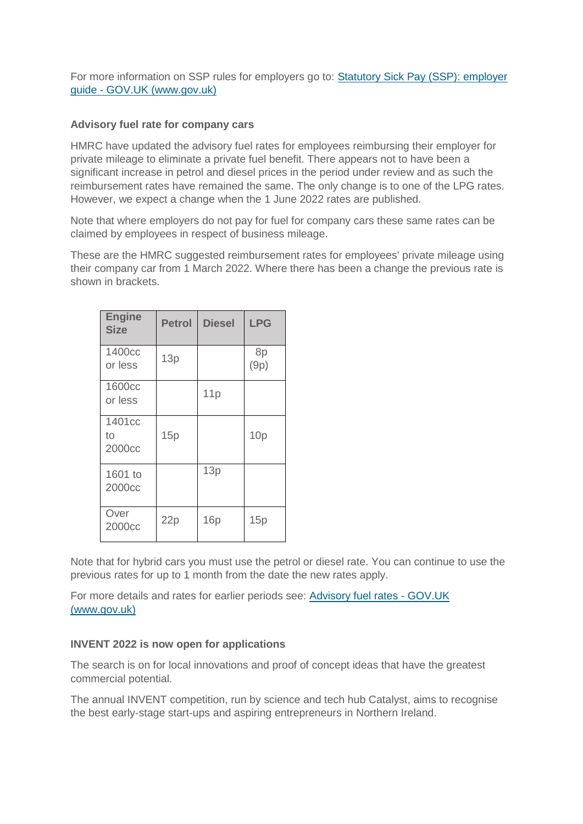For more information on SSP rules for employers go to: [Statutory Sick Pay \(SSP\): employer](https://www.gov.uk/employers-sick-pay)  guide - [GOV.UK \(www.gov.uk\)](https://www.gov.uk/employers-sick-pay)

### **Advisory fuel rate for company cars**

HMRC have updated the advisory fuel rates for employees reimbursing their employer for private mileage to eliminate a private fuel benefit. There appears not to have been a significant increase in petrol and diesel prices in the period under review and as such the reimbursement rates have remained the same. The only change is to one of the LPG rates. However, we expect a change when the 1 June 2022 rates are published.

Note that where employers do not pay for fuel for company cars these same rates can be claimed by employees in respect of business mileage.

These are the HMRC suggested reimbursement rates for employees' private mileage using their company car from 1 March 2022. Where there has been a change the previous rate is shown in brackets.

| <b>Engine</b><br><b>Size</b> | <b>Petrol</b> | <b>Diesel</b> | <b>LPG</b> |
|------------------------------|---------------|---------------|------------|
| 1400cc<br>or less            | 13p           |               | 8p<br>(9p) |
| 1600cc<br>or less            |               | 11p           |            |
| 1401cc<br>to<br>2000cc       | 15p           |               | 10p        |
| 1601 to<br>2000cc            |               | 13p           |            |
| Over<br>2000cc               | 22p           | 16p           | 15p        |

Note that for hybrid cars you must use the petrol or diesel rate. You can continue to use the previous rates for up to 1 month from the date the new rates apply.

For more details and rates for earlier periods see: [Advisory fuel rates -](https://www.gov.uk/guidance/advisory-fuel-rates) GOV.UK [\(www.gov.uk\)](https://www.gov.uk/guidance/advisory-fuel-rates)

### **INVENT 2022 is now open for applications**

The search is on for local innovations and proof of concept ideas that have the greatest commercial potential.

The annual INVENT competition, run by science and tech hub Catalyst, aims to recognise the best early-stage start-ups and aspiring entrepreneurs in Northern Ireland.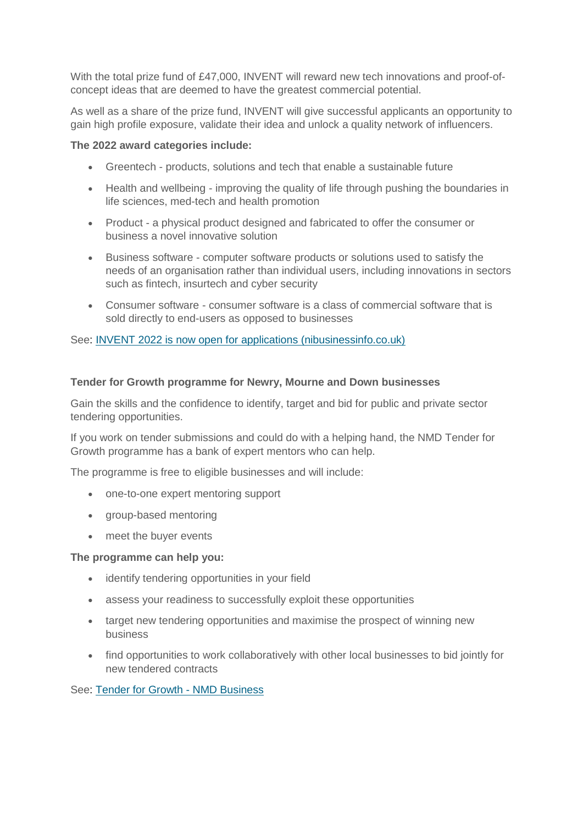With the total prize fund of £47,000, INVENT will reward new tech innovations and proof-ofconcept ideas that are deemed to have the greatest commercial potential.

As well as a share of the prize fund, INVENT will give successful applicants an opportunity to gain high profile exposure, validate their idea and unlock a quality network of influencers.

#### **The 2022 award categories include:**

- Greentech products, solutions and tech that enable a sustainable future
- Health and wellbeing improving the quality of life through pushing the boundaries in life sciences, med-tech and health promotion
- Product a physical product designed and fabricated to offer the consumer or business a novel innovative solution
- Business software computer software products or solutions used to satisfy the needs of an organisation rather than individual users, including innovations in sectors such as fintech, insurtech and cyber security
- Consumer software consumer software is a class of commercial software that is sold directly to end-users as opposed to businesses

See: [INVENT 2022 is now open for applications \(nibusinessinfo.co.uk\)](https://www.nibusinessinfo.co.uk/content/invent-2022-now-open-applications)

#### **Tender for Growth programme for Newry, Mourne and Down businesses**

Gain the skills and the confidence to identify, target and bid for public and private sector tendering opportunities.

If you work on tender submissions and could do with a helping hand, the NMD Tender for Growth programme has a bank of expert mentors who can help.

The programme is free to eligible businesses and will include:

- one-to-one expert mentoring support
- group-based mentoring
- meet the buyer events

#### **The programme can help you:**

- identify tendering opportunities in your field
- assess your readiness to successfully exploit these opportunities
- target new tendering opportunities and maximise the prospect of winning new business
- find opportunities to work collaboratively with other local businesses to bid jointly for new tendered contracts

See: [Tender for Growth -](http://nmdbusiness.org/tender-for-growth/) NMD Business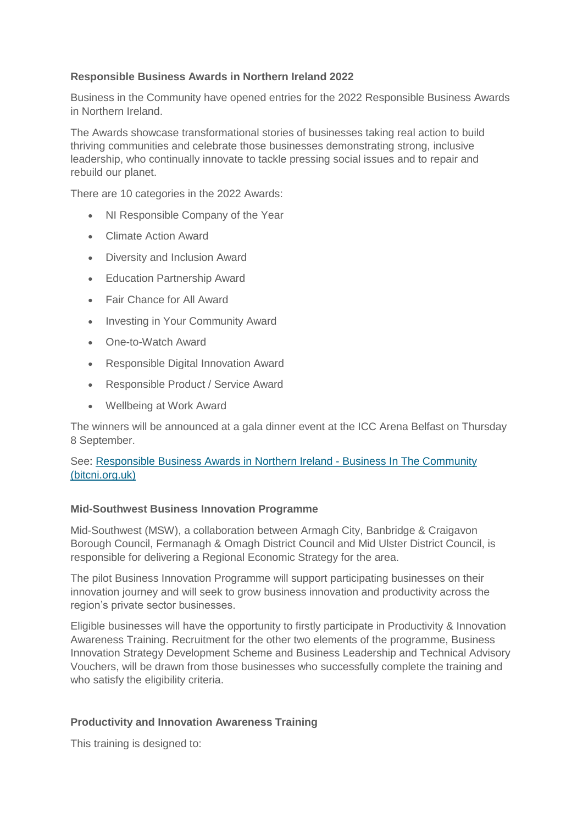## **Responsible Business Awards in Northern Ireland 2022**

Business in the Community have opened entries for the 2022 Responsible Business Awards in Northern Ireland.

The Awards showcase transformational stories of businesses taking real action to build thriving communities and celebrate those businesses demonstrating strong, inclusive leadership, who continually innovate to tackle pressing social issues and to repair and rebuild our planet.

There are 10 categories in the 2022 Awards:

- NI Responsible Company of the Year
- Climate Action Award
- Diversity and Inclusion Award
- **•** Education Partnership Award
- Fair Chance for All Award
- Investing in Your Community Award
- One-to-Watch Award
- Responsible Digital Innovation Award
- Responsible Product / Service Award
- Wellbeing at Work Award

The winners will be announced at a gala dinner event at the ICC Arena Belfast on Thursday 8 September.

### See: [Responsible Business Awards in Northern Ireland -](https://www.bitcni.org.uk/awards-categories/) Business In The Community [\(bitcni.org.uk\)](https://www.bitcni.org.uk/awards-categories/)

### **Mid-Southwest Business Innovation Programme**

Mid-Southwest (MSW), a collaboration between Armagh City, Banbridge & Craigavon Borough Council, Fermanagh & Omagh District Council and Mid Ulster District Council, is responsible for delivering a Regional Economic Strategy for the area.

The pilot Business Innovation Programme will support participating businesses on their innovation journey and will seek to grow business innovation and productivity across the region's private sector businesses.

Eligible businesses will have the opportunity to firstly participate in Productivity & Innovation Awareness Training. Recruitment for the other two elements of the programme, Business Innovation Strategy Development Scheme and Business Leadership and Technical Advisory Vouchers, will be drawn from those businesses who successfully complete the training and who satisfy the eligibility criteria.

### **Productivity and Innovation Awareness Training**

This training is designed to: